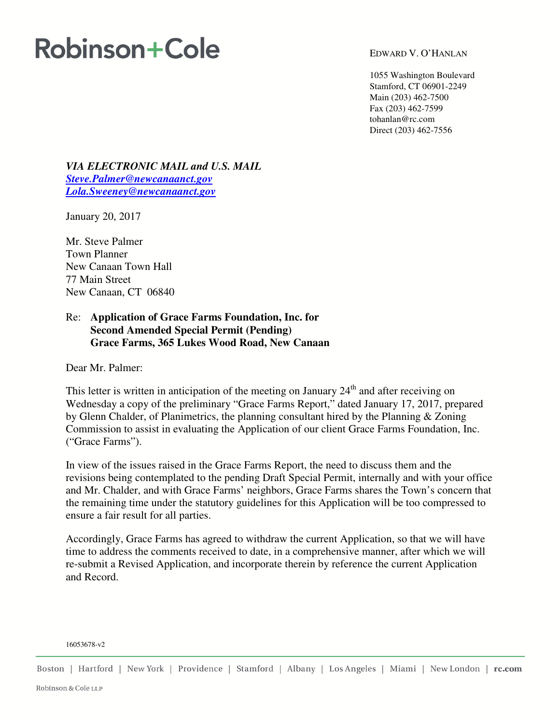# **Robinson+Cole**

EDWARD V. O'HANLAN

1055 Washington Boulevard Stamford, CT 06901-2249 Main (203) 462-7500 Fax (203) 462-7599 tohanlan@rc.com Direct (203) 462-7556

*VIA ELECTRONIC MAIL and U.S. MAIL Steve.Palmer@newcanaanct.gov Lola.Sweeney@newcanaanct.gov* 

January 20, 2017

Mr. Steve Palmer Town Planner New Canaan Town Hall 77 Main Street New Canaan, CT 06840

### Re: **Application of Grace Farms Foundation, Inc. for Second Amended Special Permit (Pending) Grace Farms, 365 Lukes Wood Road, New Canaan**

Dear Mr. Palmer:

This letter is written in anticipation of the meeting on January  $24<sup>th</sup>$  and after receiving on Wednesday a copy of the preliminary "Grace Farms Report," dated January 17, 2017, prepared by Glenn Chalder, of Planimetrics, the planning consultant hired by the Planning & Zoning Commission to assist in evaluating the Application of our client Grace Farms Foundation, Inc. ("Grace Farms").

In view of the issues raised in the Grace Farms Report, the need to discuss them and the revisions being contemplated to the pending Draft Special Permit, internally and with your office and Mr. Chalder, and with Grace Farms' neighbors, Grace Farms shares the Town's concern that the remaining time under the statutory guidelines for this Application will be too compressed to ensure a fair result for all parties.

Accordingly, Grace Farms has agreed to withdraw the current Application, so that we will have time to address the comments received to date, in a comprehensive manner, after which we will re-submit a Revised Application, and incorporate therein by reference the current Application and Record.

#### 16053678-v2

Boston | Hartford | New York | Providence | Stamford | Albany | Los Angeles | Miami | New London | rc.com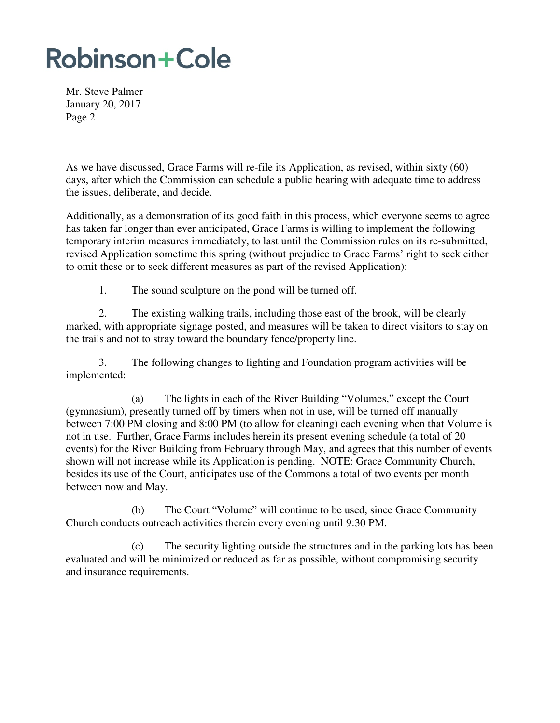## **Robinson+Cole**

Mr. Steve Palmer January 20, 2017 Page 2

As we have discussed, Grace Farms will re-file its Application, as revised, within sixty (60) days, after which the Commission can schedule a public hearing with adequate time to address the issues, deliberate, and decide.

Additionally, as a demonstration of its good faith in this process, which everyone seems to agree has taken far longer than ever anticipated, Grace Farms is willing to implement the following temporary interim measures immediately, to last until the Commission rules on its re-submitted, revised Application sometime this spring (without prejudice to Grace Farms' right to seek either to omit these or to seek different measures as part of the revised Application):

1. The sound sculpture on the pond will be turned off.

2. The existing walking trails, including those east of the brook, will be clearly marked, with appropriate signage posted, and measures will be taken to direct visitors to stay on the trails and not to stray toward the boundary fence/property line.

3. The following changes to lighting and Foundation program activities will be implemented:

(a) The lights in each of the River Building "Volumes," except the Court (gymnasium), presently turned off by timers when not in use, will be turned off manually between 7:00 PM closing and 8:00 PM (to allow for cleaning) each evening when that Volume is not in use. Further, Grace Farms includes herein its present evening schedule (a total of 20 events) for the River Building from February through May, and agrees that this number of events shown will not increase while its Application is pending. NOTE: Grace Community Church, besides its use of the Court, anticipates use of the Commons a total of two events per month between now and May.

(b) The Court "Volume" will continue to be used, since Grace Community Church conducts outreach activities therein every evening until 9:30 PM.

(c) The security lighting outside the structures and in the parking lots has been evaluated and will be minimized or reduced as far as possible, without compromising security and insurance requirements.